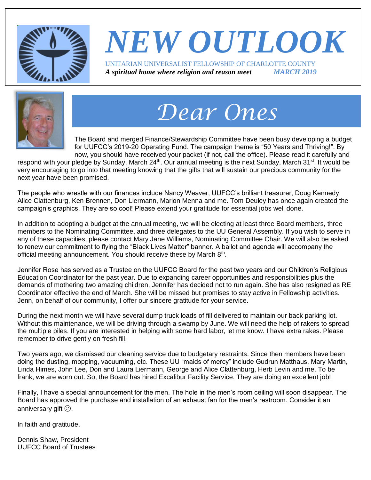



### *NEW OUTLOOK* UNITARIAN UNIVERSALIST FELLOWSHIP OF CHARLOTTE COUNTY *A spiritual home where religion and reason meet MARCH 2019*

# *Dear Ones*

The Board and merged Finance/Stewardship Committee have been busy developing a budget for UUFCC's 2019-20 Operating Fund. The campaign theme is "50 Years and Thriving!". By now, you should have received your packet (if not, call the office). Please read it carefully and

respond with your pledge by Sunday, March 24<sup>th</sup>. Our annual meeting is the next Sunday, March 31<sup>st</sup>. It would be very encouraging to go into that meeting knowing that the gifts that will sustain our precious community for the next year have been promised.

The people who wrestle with our finances include Nancy Weaver, UUFCC's brilliant treasurer, Doug Kennedy, Alice Clattenburg, Ken Brennen, Don Liermann, Marion Menna and me. Tom Deuley has once again created the campaign's graphics. They are so cool! Please extend your gratitude for essential jobs well done.

In addition to adopting a budget at the annual meeting, we will be electing at least three Board members, three members to the Nominating Committee, and three delegates to the UU General Assembly. If you wish to serve in any of these capacities, please contact Mary Jane Williams, Nominating Committee Chair. We will also be asked to renew our commitment to flying the "Black Lives Matter" banner. A ballot and agenda will accompany the official meeting announcement. You should receive these by March 8<sup>th</sup>.

Jennifer Rose has served as a Trustee on the UUFCC Board for the past two years and our Children's Religious Education Coordinator for the past year. Due to expanding career opportunities and responsibilities plus the demands of mothering two amazing children, Jennifer has decided not to run again. She has also resigned as RE Coordinator effective the end of March. She will be missed but promises to stay active in Fellowship activities. Jenn, on behalf of our community, I offer our sincere gratitude for your service.

During the next month we will have several dump truck loads of fill delivered to maintain our back parking lot. Without this maintenance, we will be driving through a swamp by June. We will need the help of rakers to spread the multiple piles. If you are interested in helping with some hard labor, let me know. I have extra rakes. Please remember to drive gently on fresh fill.

Two years ago, we dismissed our cleaning service due to budgetary restraints. Since then members have been doing the dusting, mopping, vacuuming, etc. These UU "maids of mercy" include Gudrun Matthaus, Mary Martin, Linda Himes, John Lee, Don and Laura Liermann, George and Alice Clattenburg, Herb Levin and me. To be frank, we are worn out. So, the Board has hired Excalibur Facility Service. They are doing an excellent job!

Finally, I have a special announcement for the men. The hole in the men's room ceiling will soon disappear. The Board has approved the purchase and installation of an exhaust fan for the men's restroom. Consider it an anniversary gift  $\odot$ .

In faith and gratitude,

Dennis Shaw, President UUFCC Board of Trustees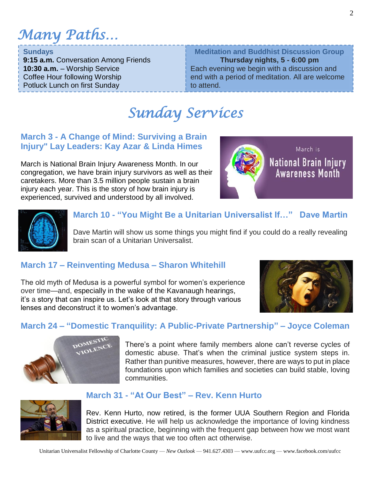*Many Paths…*

#### **Sundays**

**9:15 a.m.** Conversation Among Friends **10:30 a.m.** – Worship Service Coffee Hour following Worship Potluck Lunch on first Sunday

**Meditation and Buddhist Discussion Group Thursday nights, 5 - 6:00 pm** Each evening we begin with a discussion and end with a period of meditation. All are welcome to attend.

### *Sunday Services*

#### **March 3 - A Change of Mind: Surviving a Brain Injury" Lay Leaders: Kay Azar & Linda Himes**

March is National Brain Injury Awareness Month. In our congregation, we have brain injury survivors as well as their caretakers. More than 3.5 million people sustain a brain injury each year. This is the story of how brain injury is experienced, survived and understood by all involved.





#### **March 10 - "You Might Be a Unitarian Universalist If…" Dave Martin**

Dave Martin will show us some things you might find if you could do a really revealing brain scan of a Unitarian Universalist.

#### **March 17 – Reinventing Medusa – Sharon Whitehill**

The old myth of Medusa is a powerful symbol for women's experience over time—and, especially in the wake of the Kavanaugh hearings, it's a story that can inspire us. Let's look at that story through various lenses and deconstruct it to women's advantage.



#### **March 24 – "Domestic Tranquility: A Public-Private Partnership" – Joyce Coleman**



There's a point where family members alone can't reverse cycles of domestic abuse. That's when the criminal justice system steps in. Rather than punitive measures, however, there are ways to put in place foundations upon which families and societies can build stable, loving communities.

#### **March 31 - "At Our Best" – Rev. Kenn Hurto**



Rev. Kenn Hurto, now retired, is the former UUA Southern Region and Florida District executive. He will help us acknowledge the importance of loving kindness as a spiritual practice, beginning with the frequent gap between how we most want to live and the ways that we too often act otherwise.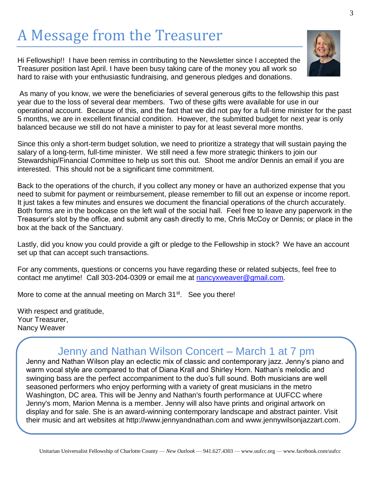# A Message from the Treasurer

Hi Fellowship!! I have been remiss in contributing to the Newsletter since I accepted the Treasurer position last April. I have been busy taking care of the money you all work so hard to raise with your enthusiastic fundraising, and generous pledges and donations.

As many of you know, we were the beneficiaries of several generous gifts to the fellowship this past year due to the loss of several dear members. Two of these gifts were available for use in our operational account. Because of this, and the fact that we did not pay for a full-time minister for the past 5 months, we are in excellent financial condition. However, the submitted budget for next year is only balanced because we still do not have a minister to pay for at least several more months.

Since this only a short-term budget solution, we need to prioritize a strategy that will sustain paying the salary of a long-term, full-time minister. We still need a few more strategic thinkers to join our Stewardship/Financial Committee to help us sort this out. Shoot me and/or Dennis an email if you are interested. This should not be a significant time commitment.

Back to the operations of the church, if you collect any money or have an authorized expense that you need to submit for payment or reimbursement, please remember to fill out an expense or income report. It just takes a few minutes and ensures we document the financial operations of the church accurately. Both forms are in the bookcase on the left wall of the social hall. Feel free to leave any paperwork in the Treasurer's slot by the office, and submit any cash directly to me, Chris McCoy or Dennis; or place in the box at the back of the Sanctuary.

Lastly, did you know you could provide a gift or pledge to the Fellowship in stock? We have an account set up that can accept such transactions.

For any comments, questions or concerns you have regarding these or related subjects, feel free to contact me anytime! Call 303-204-0309 or email me at [nancyxweaver@gmail.com.](mailto:nancyxweaver@gmail.com)

More to come at the annual meeting on March  $31<sup>st</sup>$ . See you there!

With respect and gratitude, Your Treasurer, Nancy Weaver

#### Jenny and Nathan Wilson Concert – March 1 at 7 pm

Jenny and Nathan Wilson play an eclectic mix of classic and contemporary jazz. Jenny's piano and warm vocal style are compared to that of Diana Krall and Shirley Horn. Nathan's melodic and swinging bass are the perfect accompaniment to the duo's full sound. Both musicians are well seasoned performers who enjoy performing with a variety of great musicians in the metro Washington, DC area. This will be Jenny and Nathan's fourth performance at UUFCC where Jenny's mom, Marion Menna is a member. Jenny will also have prints and original artwork on display and for sale. She is an award-winning contemporary landscape and abstract painter. Visit their music and art websites at http://www.jennyandnathan.com and www.jennywilsonjazzart.com.

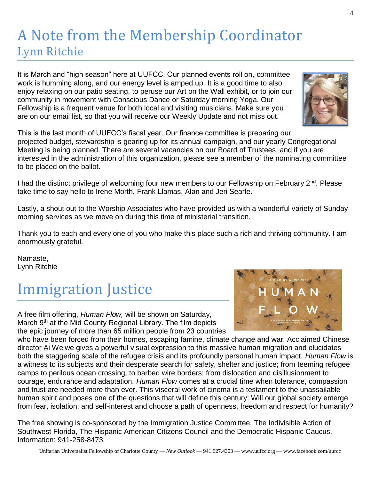### A Note from the Membership Coordinator Lynn Ritchie

It is March and "high season" here at UUFCC. Our planned events roll on, committee work is humming along, and our energy level is amped up. It is a good time to also enjoy relaxing on our patio seating, to peruse our Art on the Wall exhibit, or to join our community in movement with Conscious Dance or Saturday morning Yoga. Our Fellowship is a frequent venue for both local and visiting musicians. Make sure you are on our email list, so that you will receive our Weekly Update and not miss out.



I had the distinct privilege of welcoming four new members to our Fellowship on February  $2^{nd}$ . Please take time to say hello to Irene Morth, Frank Llamas, Alan and Jeri Searle.

Lastly, a shout out to the Worship Associates who have provided us with a wonderful variety of Sunday morning services as we move on during this time of ministerial transition.

Thank you to each and every one of you who make this place such a rich and thriving community. I am enormously grateful.

Namaste, Lynn Ritchie

### Immigration Justice

A free film offering, *Human Flow,* will be shown on Saturday, March 9<sup>th</sup> at the Mid County Regional Library. The film depicts the epic journey of more than 65 million people from 23 countries



who have been forced from their homes, escaping famine, climate change and war. Acclaimed Chinese director Ai Weiwe gives a powerful visual expression to this massive human migration and elucidates both the staggering scale of the refugee crisis and its profoundly personal human impact. *Human Flow* is a witness to its subjects and their desperate search for safety, shelter and justice; from teeming refugee camps to perilous ocean crossing, to barbed wire borders; from dislocation and disillusionment to courage, endurance and adaptation. *Human Flow* comes at a crucial time when tolerance, compassion and trust are needed more than ever. This visceral work of cinema is a testament to the unassailable human spirit and poses one of the questions that will define this century: Will our global society emerge from fear, isolation, and self-interest and choose a path of openness, freedom and respect for humanity?

The free showing is co-sponsored by the Immigration Justice Committee, The Indivisible Action of Southwest Florida, The Hispanic American Citizens Council and the Democratic Hispanic Caucus. Information: 941-258-8473.

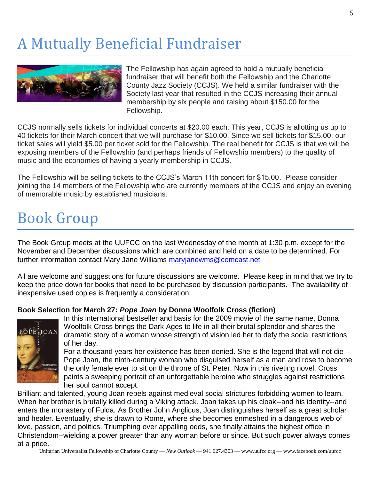### A Mutually Beneficial Fundraiser



The Fellowship has again agreed to hold a mutually beneficial fundraiser that will benefit both the Fellowship and the Charlotte County Jazz Society (CCJS). We held a similar fundraiser with the Society last year that resulted in the CCJS increasing their annual membership by six people and raising about \$150.00 for the Fellowship.

CCJS normally sells tickets for individual concerts at \$20.00 each. This year, CCJS is allotting us up to 40 tickets for their March concert that we will purchase for \$10.00. Since we sell tickets for \$15.00, our ticket sales will yield \$5.00 per ticket sold for the Fellowship. The real benefit for CCJS is that we will be exposing members of the Fellowship (and perhaps friends of Fellowship members) to the quality of music and the economies of having a yearly membership in CCJS.

The Fellowship will be selling tickets to the CCJS's March 11th concert for \$15.00. Please consider joining the 14 members of the Fellowship who are currently members of the CCJS and enjoy an evening of memorable music by established musicians.

### Book Group

The Book Group meets at the UUFCC on the last Wednesday of the month at 1:30 p.m. except for the November and December discussions which are combined and held on a date to be determined. For further information contact Mary Jane Williams [maryjanewms@comcast.net](mailto:maryjanewms@comcast.net)

All are welcome and suggestions for future discussions are welcome. Please keep in mind that we try to keep the price down for books that need to be purchased by discussion participants. The availability of inexpensive used copies is frequently a consideration.

#### **Book Selection for March 27:** *Pope Joan* **by Donna Woolfolk Cross (fiction)**



In this international bestseller and basis for the 2009 movie of the same name, Donna Woolfolk Cross brings the Dark Ages to life in all their brutal splendor and shares the dramatic story of a woman whose strength of vision led her to defy the social restrictions of her day.

For a thousand years her existence has been denied. She is the legend that will not die–- Pope Joan, the ninth-century woman who disguised herself as a man and rose to become the only female ever to sit on the throne of St. Peter. Now in this riveting novel, Cross paints a sweeping portrait of an unforgettable heroine who struggles against restrictions her soul cannot accept.

Brilliant and talented, young Joan rebels against medieval social strictures forbidding women to learn. When her brother is brutally killed during a Viking attack, Joan takes up his cloak--and his identity--and enters the monastery of Fulda. As Brother John Anglicus, Joan distinguishes herself as a great scholar and healer. Eventually, she is drawn to Rome, where she becomes enmeshed in a dangerous web of love, passion, and politics. Triumphing over appalling odds, she finally attains the highest office in Christendom--wielding a power greater than any woman before or since. But such power always comes at a price.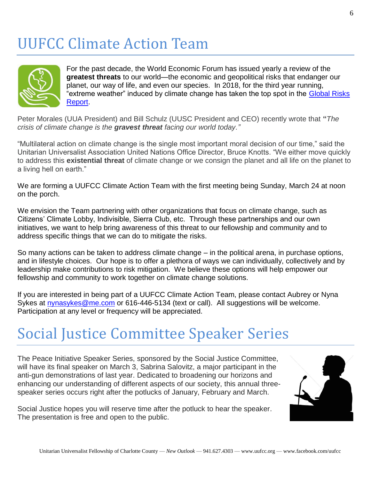### UUFCC Climate Action Team



For the past decade, the World Economic Forum has issued yearly a review of the **greatest threats** to our world—the economic and geopolitical risks that endanger our planet, our way of life, and even our species. In 2018, for the third year running, "extreme weather" induced by climate change has taken the top spot in the [Global Risks](http://www3.weforum.org/docs/WEF_Global_Risks_Report_2019.pdf)  [Report.](http://www3.weforum.org/docs/WEF_Global_Risks_Report_2019.pdf)

Peter Morales (UUA President) and Bill Schulz (UUSC President and CEO) recently wrote that **"***The crisis of climate change is the gravest threat facing our world today."*

"Multilateral action on climate change is the single most important moral decision of our time," said the Unitarian Universalist Association United Nations Office Director, Bruce Knotts. "We either move quickly to address this **existential threat** of climate change or we consign the planet and all life on the planet to a living hell on earth."

We are forming a UUFCC Climate Action Team with the first meeting being Sunday, March 24 at noon on the porch.

We envision the Team partnering with other organizations that focus on climate change, such as Citizens' Climate Lobby, Indivisible, Sierra Club, etc. Through these partnerships and our own initiatives, we want to help bring awareness of this threat to our fellowship and community and to address specific things that we can do to mitigate the risks.

So many actions can be taken to address climate change – in the political arena, in purchase options, and in lifestyle choices. Our hope is to offer a plethora of ways we can individually, collectively and by leadership make contributions to risk mitigation. We believe these options will help empower our fellowship and community to work together on climate change solutions.

If you are interested in being part of a UUFCC Climate Action Team, please contact Aubrey or Nyna Sykes at [nynasykes@me.com](mailto:nynasykes@me.com) or 616-446-5134 (text or call). All suggestions will be welcome. Participation at any level or frequency will be appreciated.

### Social Justice Committee Speaker Series

The Peace Initiative Speaker Series, sponsored by the Social Justice Committee, will have its final speaker on March 3, Sabrina Salovitz, a major participant in the anti-gun demonstrations of last year. Dedicated to broadening our horizons and enhancing our understanding of different aspects of our society, this annual threespeaker series occurs right after the potlucks of January, February and March.

Social Justice hopes you will reserve time after the potluck to hear the speaker. The presentation is free and open to the public.

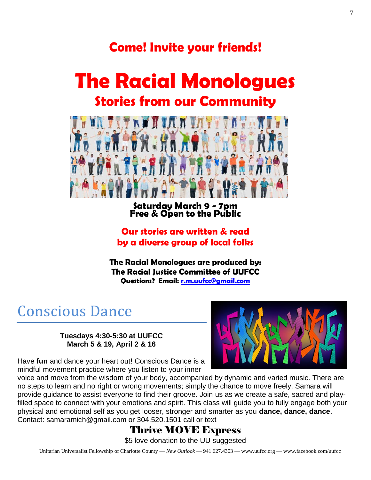#### **Come! Invite your friends!**

# **The Racial Monologues Stories from our Community**



**Saturday March 9 - 7pm Free & Open to the Public**

**Our stories are written & read by a diverse group of local folks**

**The Racial Monologues are produced by: The Racial Justice Committee of UUFCC Questions? Email: [r.m.uufcc@gmail.com](mailto:r.m.uufcc@gmail.com)**

### Conscious Dance

#### **Tuesdays 4:30-5:30 at UUFCC March 5 & 19, April 2 & 16**

Have **fun** and dance your heart out! Conscious Dance is a mindful movement practice where you listen to your inner



voice and move from the wisdom of your body, accompanied by dynamic and varied music. There are no steps to learn and no right or wrong movements; simply the chance to move freely. Samara will provide guidance to assist everyone to find their groove. Join us as we create a safe, sacred and playfilled space to connect with your emotions and spirit. This class will guide you to fully engage both your physical and emotional self as you get looser, stronger and smarter as you **dance, dance, dance**. Contact: samaramich@gmail.com or 304.520.1501 call or text

Thrive MOVE Express

\$5 love donation to the UU suggested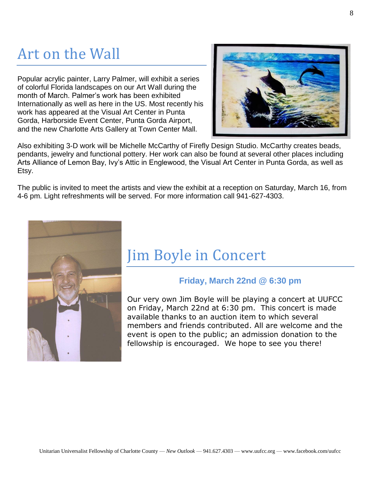## Art on the Wall

Popular acrylic painter, Larry Palmer, will exhibit a series of colorful Florida landscapes on our Art Wall during the month of March. Palmer's work has been exhibited Internationally as well as here in the US. Most recently his work has appeared at the Visual Art Center in Punta Gorda, Harborside Event Center, Punta Gorda Airport, and the new Charlotte Arts Gallery at Town Center Mall.



Also exhibiting 3-D work will be Michelle McCarthy of Firefly Design Studio. McCarthy creates beads, pendants, jewelry and functional pottery. Her work can also be found at several other places including Arts Alliance of Lemon Bay, Ivy's Attic in Englewood, the Visual Art Center in Punta Gorda, as well as Etsy.

The public is invited to meet the artists and view the exhibit at a reception on Saturday, March 16, from 4-6 pm. Light refreshments will be served. For more information call 941-627-4303.



#### Jim Boyle in Concert

#### **Friday, March 22nd @ 6:30 pm**

Our very own Jim Boyle will be playing a concert at UUFCC on Friday, March 22nd at 6:30 pm. This concert is made available thanks to an auction item to which several members and friends contributed. All are welcome and the event is open to the public; an admission donation to the fellowship is encouraged. We hope to see you there!